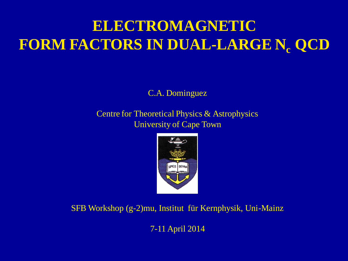# **ELECTROMAGNETIC FORM FACTORS IN DUAL-LARGE N<sup>c</sup> QCD**

#### C.A. Dominguez

Centre for Theoretical Physics & Astrophysics University of Cape Town



SFB Workshop (g-2)mu, Institut für Kernphysik, Uni-Mainz

7-11 April 2014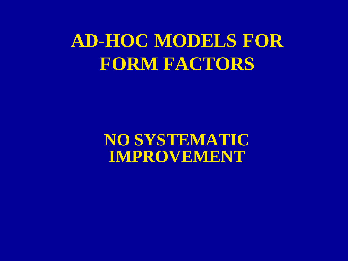# **AD-HOC MODELS FOR FORM FACTORS**

**NO SYSTEMATIC IMPROVEMENT**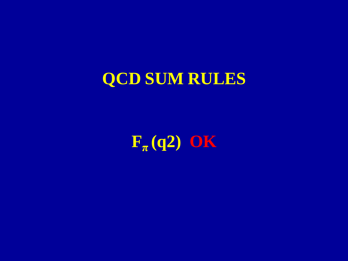# QCD SUM RULES

 $\mathbf{F}_{\pi}(\mathbf{q2})$  OK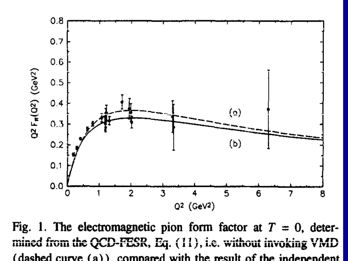

Fig. 1. The electromagnetic pion form factor at  $T = 0$ , determined from the QCD-FESR, Eq.  $(11)$ , i.e. without invoking VMD  $\theta$  dashed curve  $\theta$   $\theta$ ) compared with the result of the independent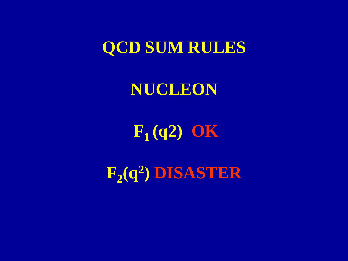# **QCD SUM RULES**

**NUCLEON**

 $\mathbf{F}_1$   $\overline{\mathbf{q}}$  **2** OK

**F2 (q<sup>2</sup> ) DISASTER**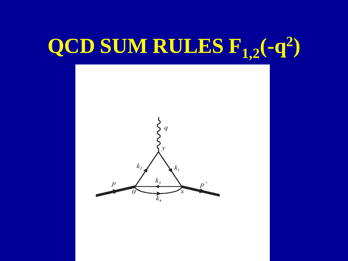# **QCD SUM RULES F1,2(-q 2 )**

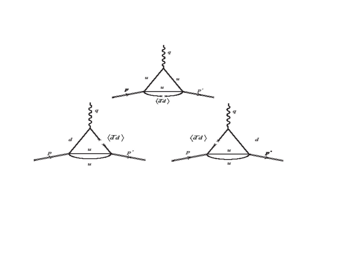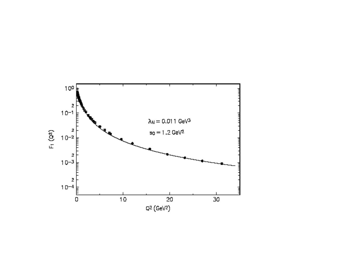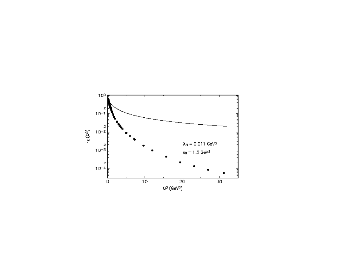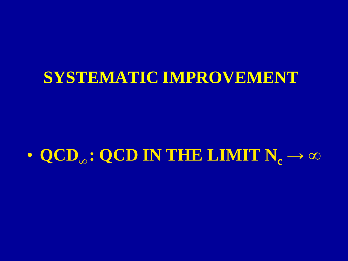## **SYSTEMATIC IMPROVEMENT**

# $\bullet$  **QCD**<sub>∞</sub>: QCD IN THE LIMIT N<sub>c</sub>  $\rightarrow \infty$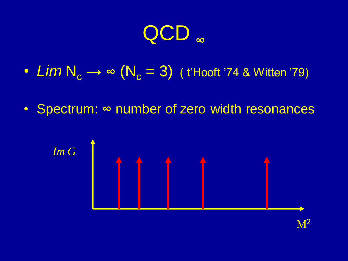QCD **<sup>∞</sup>**

- $Lim N_c \rightarrow \infty (N_c = 3)$  ( t'Hooft '74 & Witten '79)
- Spectrum: **∞** number of zero width resonances



 $M<sup>2</sup>$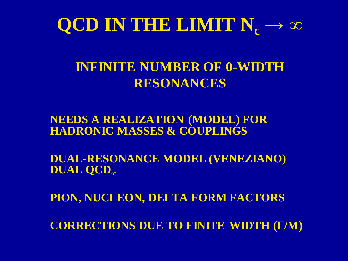# **QCD IN THE LIMIT N<sub>c</sub>**  $\rightarrow \infty$

#### **INFINITE NUMBER OF 0-WIDTH RESONANCES**

#### **NEEDS A REALIZATION (MODEL) FOR HADRONIC MASSES & COUPLINGS**

**DUAL-RESONANCE MODEL (VENEZIANO) DUAL QCD<sup>∞</sup>**

**PION, NUCLEON, DELTA FORM FACTORS**

**CORRECTIONS DUE TO FINITE WIDTH (Γ/M)**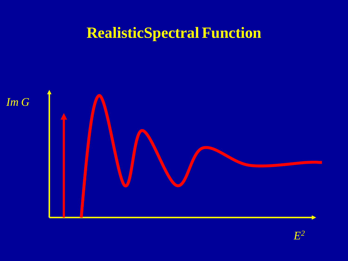## **RealisticSpectral Function**



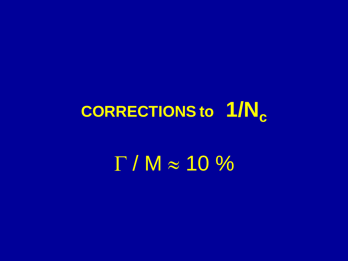# **CORRECTIONS to 1/N.**

# $\Gamma/M \approx 10\%$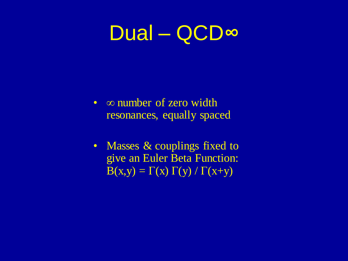# Dual – QCD**∞**

- **∞** number of zero width resonances, equally spaced
- Masses & couplings fixed to give an Euler Beta Function:  $B(x,y) = \Gamma(x) \Gamma(y) / \Gamma(x+y)$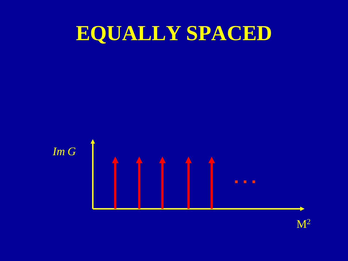# EQUALLY SPACED



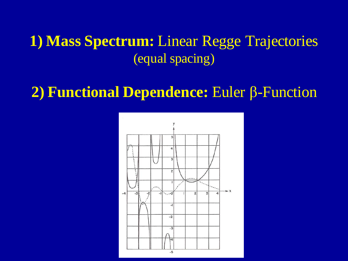## **1) Mass Spectrum:** Linear Regge Trajectories (equal spacing)

## **2) Functional Dependence:** Euler β-Function

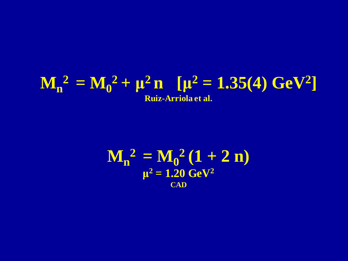# **M**<sub>n</sub><sup>2</sup> = **M**<sub>0</sub><sup>2</sup> + **µ**<sup>2</sup> **n**  $[\mu^2 = 1.35(4) \text{ GeV}^2]$

**Ruiz-Arriola et al.**

#### $M_n^2 = M_0^2 (1 + 2 n)$  $\mu^2 = 1.20 \text{ GeV}^2$ **CAD**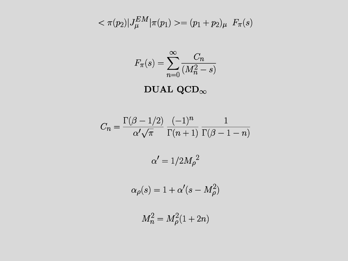$$
<\pi(p_2)|J_{\mu}^{EM}|\pi(p_1)>= (p_1+p_2)_{\mu} ~~F_{\pi}(s)
$$

$$
F_\pi(s)=\sum_{n=0}^\infty\frac{C_n}{(M_n^2-s)}
$$

#### DUAL $\rm{QCD}_{\infty}$

$$
C_n = \frac{\Gamma(\beta - 1/2)}{\alpha' \sqrt{\pi}} \frac{(-1)^n}{\Gamma(n+1)} \frac{1}{\Gamma(\beta - 1 - n)}
$$

$$
\alpha'=1/2M\rho^2
$$

$$
\alpha_{\rho}(s) = 1 + \alpha'(s - M_{\rho}^2)
$$

$$
M_n^2 = M_\rho^2 (1 + 2n)
$$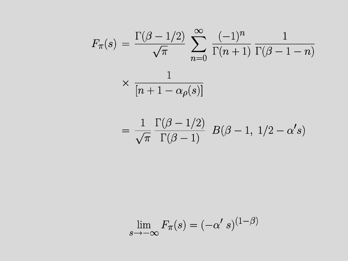$$
F_{\pi}(s) = \frac{\Gamma(\beta - 1/2)}{\sqrt{\pi}} \sum_{n=0}^{\infty} \frac{(-1)^n}{\Gamma(n+1)} \frac{1}{\Gamma(\beta - 1 - n)}
$$

$$
\times \frac{1}{[n+1 - \alpha_{\rho}(s)]}
$$

$$
= \frac{1}{\sqrt{\pi}} \frac{\Gamma(\beta - 1/2)}{\Gamma(\beta - 1)} B(\beta - 1, 1/2 - \alpha' s)
$$

$$
\lim_{s \to -\infty} F_{\pi}(s) = (-\alpha' s)^{(1-\beta)}
$$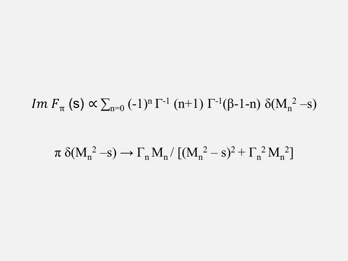# *Im*  $F_{\pi}$  (s)  $\propto \sum_{n=0}$  (-1)<sup>n</sup>  $\Gamma^{-1}$  (n+1)  $\Gamma^{-1}$ ( $\beta$ -1-n)  $\delta(M_n^2-s)$  $\pi \delta(M_n^2 - s) \rightarrow \Gamma_n M_n / [(M_n^2 - s)^2 + \Gamma_n^2 M_n^2]$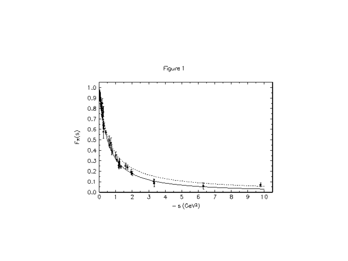

Figure 1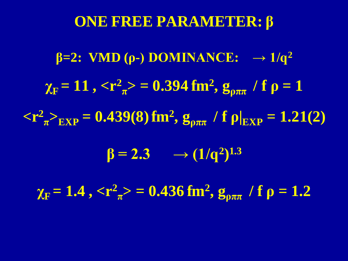**ONE FREE PARAMETER: β β=2:** VMD  $(\rho$ -) DOMINANCE:  $\rightarrow 1/q^2$  $\chi_{\rm F} = 11$ ,  $\langle {\bf r}^2_{\pi} \rangle = 0.394$  fm<sup>2</sup>,  ${\bf g}_{\rho\pi\pi}$  / f  $\rho = 1$  $\langle T^2_{\pi} \rangle_{\text{EXP}} = 0.439(8) \text{ fm}^2, \text{ g}_{p\pi\pi} / \text{ f} \text{ p}|_{\text{EXP}} = 1.21(2)$  $\beta = 2.3 \rightarrow (1/q^2)^{1.3}$  $\chi_{\rm F}$  = 1.4 ,  $<$  r<sup>2</sup><sub> $\pi$ </sub> $>$  = 0.436 fm<sup>2</sup>,  $\rm g_{p\pi\pi}$  / f  $\rm \rho$  = 1.2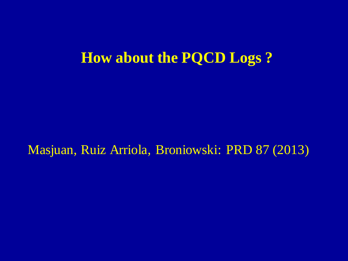### **How about the PQCD Logs ?**

Masjuan, Ruiz Arriola, Broniowski: PRD 87 (2013)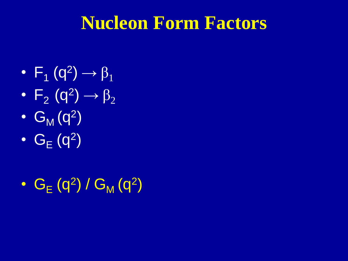# **Nucleon Form Factors**

- $F_1$  (q<sup>2</sup>)  $\rightarrow$   $\beta_1$
- $F_2$  (q<sup>2</sup>)  $\rightarrow$   $\beta_2$
- $G_M$  (q<sup>2</sup>)
- $G_E(q^2)$
- $G_E(q^2) / G_M(q^2)$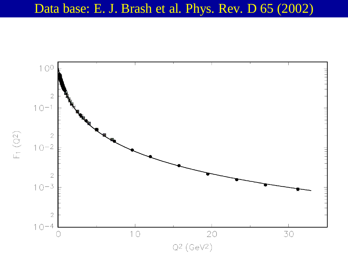#### Data base: E. J. Brash et al. Phys. Rev. D 65 (2002)

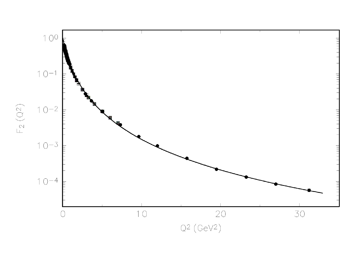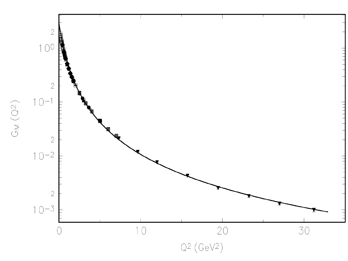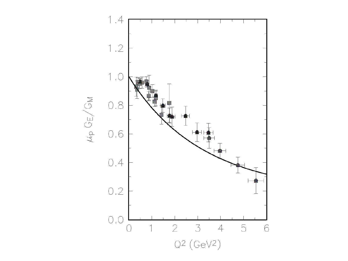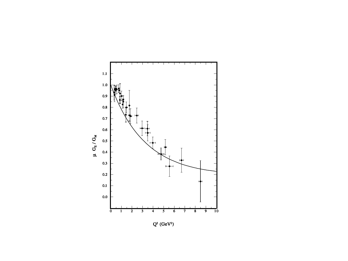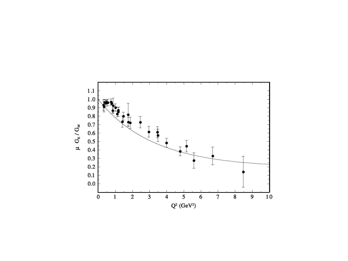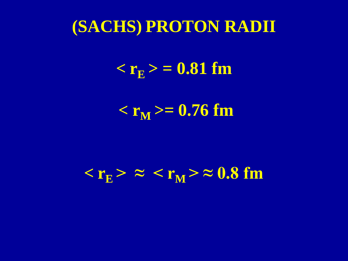## **(SACHS) PROTON RADII**

# $\langle \mathbf{r_E} \rangle = 0.81 \text{ fm}$

# $\langle \mathbf{r}_M \rangle = 0.76$  fm

# $\langle r_{\rm E} \rangle \approx \langle r_{\rm M} \rangle \approx 0.8$  fm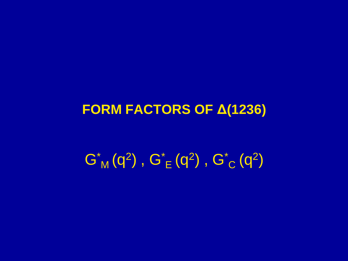# $G_{M}^{*}(q^{2})$  ,  $G_{E}^{*}(q^{2})$  ,  $G_{C}^{*}(q^{2})$

#### **FORM FACTORS OF Δ(1236)**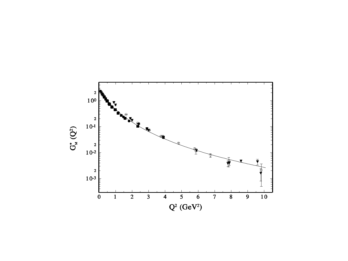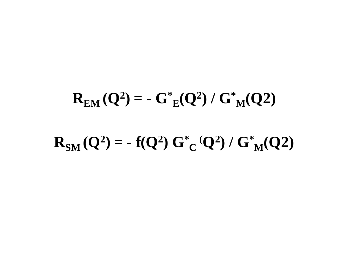# **R**<sub>**EM</sub>(Q<sup>2</sup>) = - G<sup>\*</sup><sub><b>E<sup>(Q<sup>2</sup>) / G<sup>\*</sup><sub>M</sub>(Q2)</sub>**</sub></sup> **R**<sub>SM</sub>( $Q^2$ ) = - **f**( $Q^2$ )  $G^*_{C}$ <sup>( $Q^2$ ) /  $G^*_{M}(Q^2)$ </sup>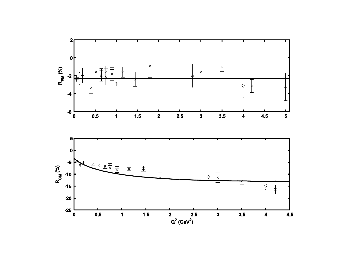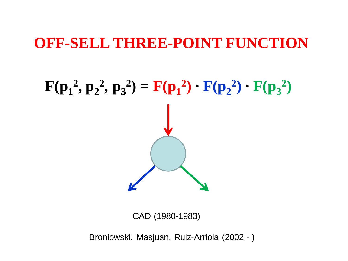## **OFF-SELL THREE-POINT FUNCTION**

# $F(p_1^2, p_2^2, p_3^2) = F(p_1^2) \cdot F(p_2^2) \cdot F(p_3^2)$

CAD (1980-1983)

Broniowski, Masjuan, Ruiz-Arriola (2002 - )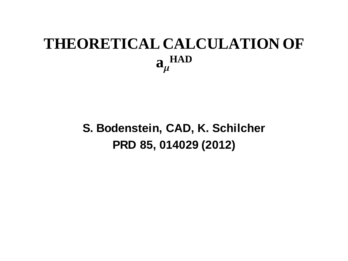# **THEORETICAL CALCULATION OF**   $\mathbf{a}_{\mu}^{\text{ HAD}}$

#### **S. Bodenstein, CAD, K. Schilcher PRD 85, 014029 (2012)**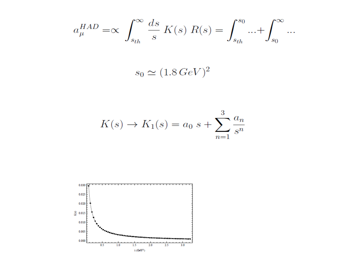$$
a_{\mu}^{HAD} = \propto \int_{s_{th}}^{\infty} \frac{ds}{s} K(s) R(s) = \int_{s_{th}}^{s_0} ... + \int_{s_0}^{\infty} ...
$$

$$
s_0 \simeq (1.8 \, GeV)^2
$$

$$
K(s) \to K_1(s) = a_0 s + \sum_{n=1}^{3} \frac{a_n}{s^n}
$$

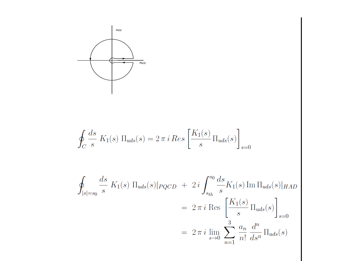

$$
\oint_C \frac{ds}{s} K_1(s) \Pi_{uds}(s) = 2 \pi i Res \left[ \frac{K_1(s)}{s} \Pi_{uds}(s) \right]_{s=0}
$$

$$
\oint_{|s|=s_0} \frac{ds}{s} K_1(s) \Pi_{uds}(s)|_{PQCD} + 2i \int_{s_{th}}^{s_0} \frac{ds}{s} K_1(s) \operatorname{Im} \Pi_{uds}(s)|_{HAD}
$$
\n
$$
= 2 \pi i \operatorname{Res}_{s \to 0} \left[ \frac{K_1(s)}{s} \Pi_{uds}(s) \right]_{s=0}
$$
\n
$$
= 2 \pi i \lim_{s \to 0} \sum_{n=1}^{3} \frac{a_n}{n!} \frac{d^n}{ds^n} \Pi_{uds}(s)
$$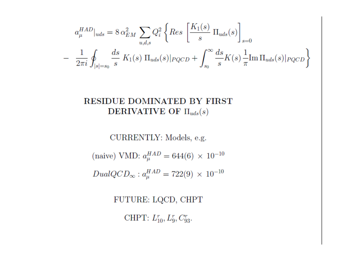$$
a_{\mu}^{HAD}|_{uds} = 8 \alpha_{EM}^2 \sum_{u,d,s} Q_i^2 \left\{ Res \left[ \frac{K_1(s)}{s} \Pi_{uds}(s) \right]_{s=0} - \frac{1}{2\pi i} \oint_{|s|=s_0} \frac{ds}{s} K_1(s) \Pi_{uds}(s) |_{PQCD} + \int_{s_0}^{\infty} \frac{ds}{s} K(s) \frac{1}{\pi} Im \Pi_{uds}(s) |_{PQCD} \right\}
$$

#### **RESIDUE DOMINATED BY FIRST** DERIVATIVE OF  $\Pi_{uds}(s)$

CURRENTLY: Models, e.g. (naive) VMD:  $a_{\mu}^{HAD} = 644(6) \times 10^{-10}$  $DualQCD_{\infty}: a_{\mu}^{HAD} = 722(9) \times 10^{-10}$ 

> FUTURE: LQCD, CHPT CHPT:  $L_{10}^r$ ,  $L_9^r$ ,  $C_{93}^r$ .